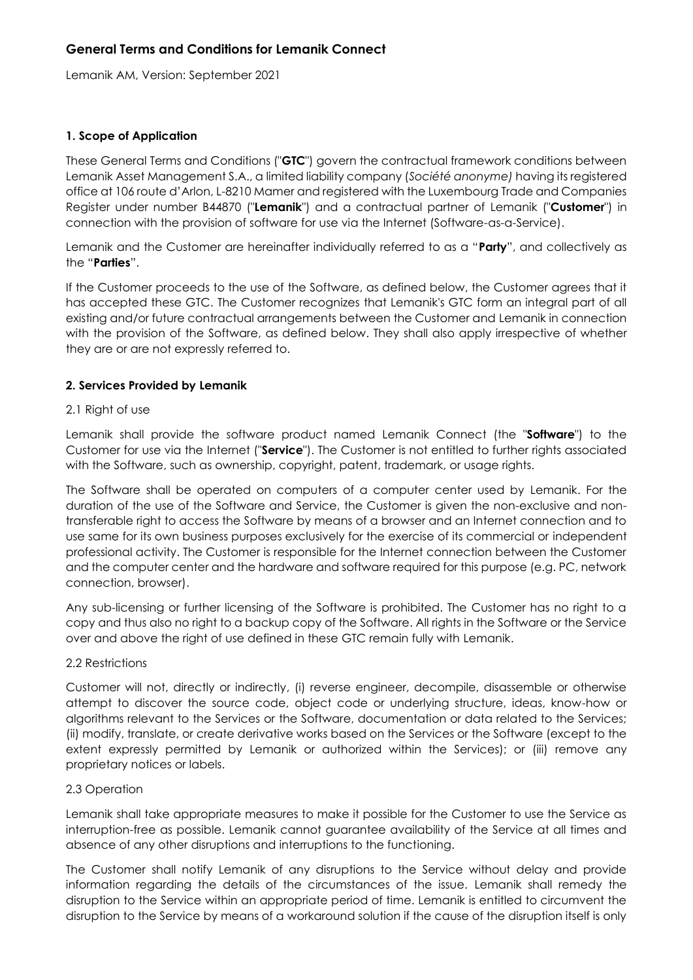# **General Terms and Conditions for Lemanik Connect**

Lemanik AM, Version: September 2021

## **1. Scope of Application**

These General Terms and Conditions ("**GTC**") govern the contractual framework conditions between Lemanik Asset Management S.A., a limited liability company (*Société anonyme)* having its registered office at 106 route d'Arlon, L-8210 Mamer and registered with the Luxembourg Trade and Companies Register under number B44870 ("**Lemanik**") and a contractual partner of Lemanik ("**Customer**") in connection with the provision of software for use via the Internet (Software-as-a-Service).

Lemanik and the Customer are hereinafter individually referred to as a "**Party**", and collectively as the "**Parties**".

If the Customer proceeds to the use of the Software, as defined below, the Customer agrees that it has accepted these GTC. The Customer recognizes that Lemanik's GTC form an integral part of all existing and/or future contractual arrangements between the Customer and Lemanik in connection with the provision of the Software, as defined below. They shall also apply irrespective of whether they are or are not expressly referred to.

## **2. Services Provided by Lemanik**

### 2.1 Right of use

Lemanik shall provide the software product named Lemanik Connect (the "**Software**") to the Customer for use via the Internet ("**Service**"). The Customer is not entitled to further rights associated with the Software, such as ownership, copyright, patent, trademark, or usage rights.

The Software shall be operated on computers of a computer center used by Lemanik. For the duration of the use of the Software and Service, the Customer is given the non-exclusive and nontransferable right to access the Software by means of a browser and an Internet connection and to use same for its own business purposes exclusively for the exercise of its commercial or independent professional activity. The Customer is responsible for the Internet connection between the Customer and the computer center and the hardware and software required for this purpose (e.g. PC, network connection, browser).

Any sub-licensing or further licensing of the Software is prohibited. The Customer has no right to a copy and thus also no right to a backup copy of the Software. All rights in the Software or the Service over and above the right of use defined in these GTC remain fully with Lemanik.

### 2.2 Restrictions

Customer will not, directly or indirectly, (i) reverse engineer, decompile, disassemble or otherwise attempt to discover the source code, object code or underlying structure, ideas, know-how or algorithms relevant to the Services or the Software, documentation or data related to the Services; (ii) modify, translate, or create derivative works based on the Services or the Software (except to the extent expressly permitted by Lemanik or authorized within the Services); or (iii) remove any proprietary notices or labels.

### 2.3 Operation

Lemanik shall take appropriate measures to make it possible for the Customer to use the Service as interruption-free as possible. Lemanik cannot guarantee availability of the Service at all times and absence of any other disruptions and interruptions to the functioning.

The Customer shall notify Lemanik of any disruptions to the Service without delay and provide information regarding the details of the circumstances of the issue. Lemanik shall remedy the disruption to the Service within an appropriate period of time. Lemanik is entitled to circumvent the disruption to the Service by means of a workaround solution if the cause of the disruption itself is only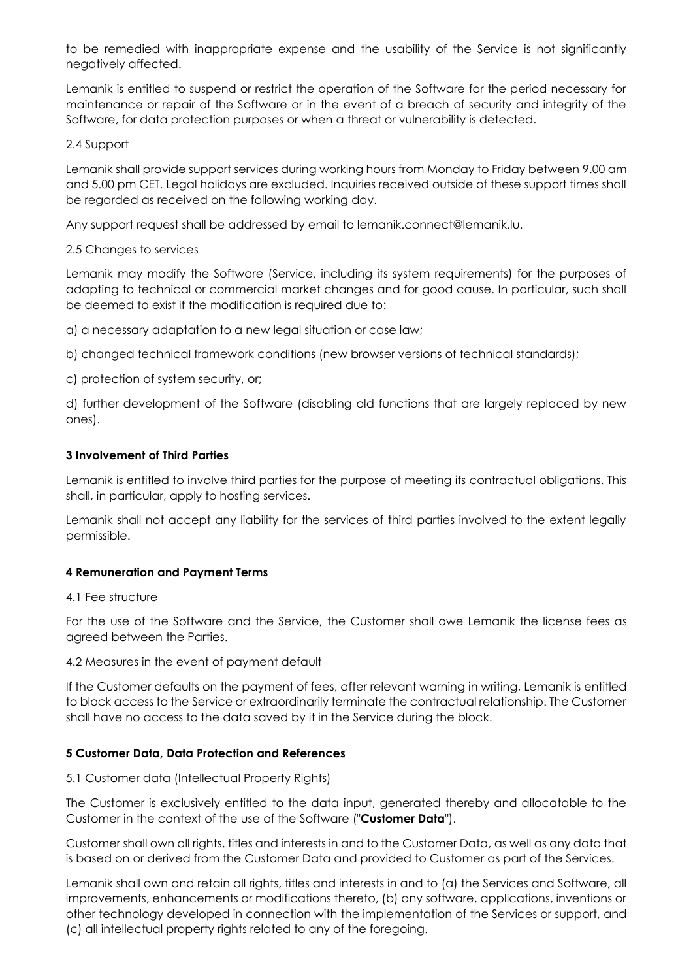to be remedied with inappropriate expense and the usability of the Service is not significantly negatively affected.

Lemanik is entitled to suspend or restrict the operation of the Software for the period necessary for maintenance or repair of the Software or in the event of a breach of security and integrity of the Software, for data protection purposes or when a threat or vulnerability is detected.

## 2.4 Support

Lemanik shall provide support services during working hours from Monday to Friday between 9.00 am and 5.00 pm CET. Legal holidays are excluded. Inquiries received outside of these support times shall be regarded as received on the following working day.

Any support request shall be addressed by email to lemanik.connect@lemanik.lu.

## 2.5 Changes to services

Lemanik may modify the Software (Service, including its system requirements) for the purposes of adapting to technical or commercial market changes and for good cause. In particular, such shall be deemed to exist if the modification is required due to:

a) a necessary adaptation to a new legal situation or case law;

b) changed technical framework conditions (new browser versions of technical standards);

c) protection of system security, or;

d) further development of the Software (disabling old functions that are largely replaced by new ones).

## **3 Involvement of Third Parties**

Lemanik is entitled to involve third parties for the purpose of meeting its contractual obligations. This shall, in particular, apply to hosting services.

Lemanik shall not accept any liability for the services of third parties involved to the extent legally permissible.

# **4 Remuneration and Payment Terms**

### 4.1 Fee structure

For the use of the Software and the Service, the Customer shall owe Lemanik the license fees as agreed between the Parties.

### 4.2 Measures in the event of payment default

If the Customer defaults on the payment of fees, after relevant warning in writing, Lemanik is entitled to block access to the Service or extraordinarily terminate the contractual relationship. The Customer shall have no access to the data saved by it in the Service during the block.

# **5 Customer Data, Data Protection and References**

# 5.1 Customer data (Intellectual Property Rights)

The Customer is exclusively entitled to the data input, generated thereby and allocatable to the Customer in the context of the use of the Software ("**Customer Data**").

Customer shall own all rights, titles and interests in and to the Customer Data, as well as any data that is based on or derived from the Customer Data and provided to Customer as part of the Services.

Lemanik shall own and retain all rights, titles and interests in and to (a) the Services and Software, all improvements, enhancements or modifications thereto, (b) any software, applications, inventions or other technology developed in connection with the implementation of the Services or support, and (c) all intellectual property rights related to any of the foregoing.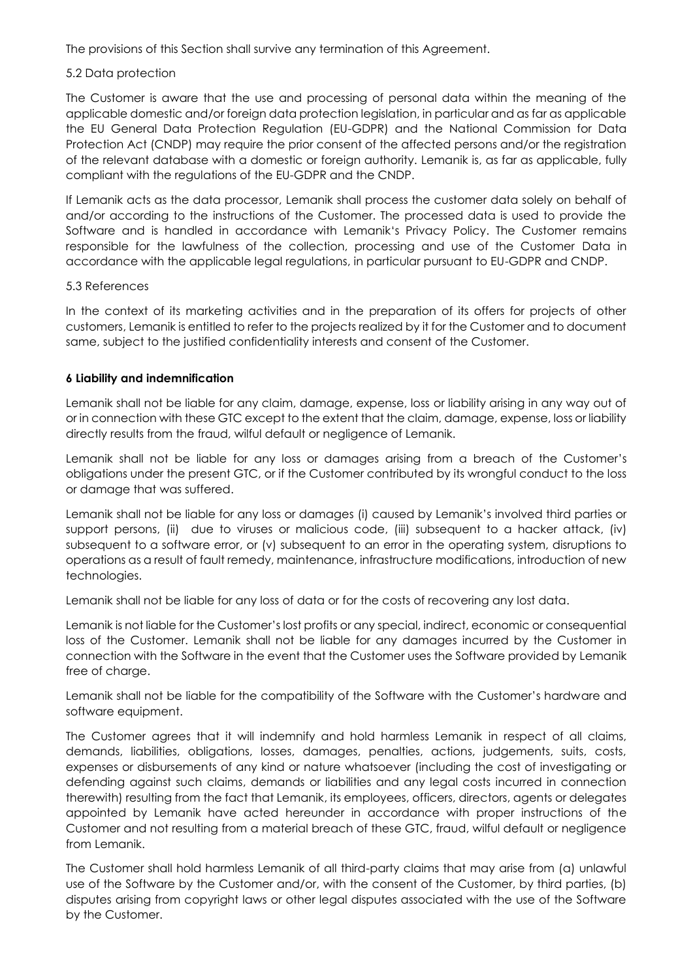The provisions of this Section shall survive any termination of this Agreement.

# 5.2 Data protection

The Customer is aware that the use and processing of personal data within the meaning of the applicable domestic and/or foreign data protection legislation, in particular and as far as applicable the EU General Data Protection Regulation (EU-GDPR) and the National Commission for Data Protection Act (CNDP) may require the prior consent of the affected persons and/or the registration of the relevant database with a domestic or foreign authority. Lemanik is, as far as applicable, fully compliant with the regulations of the EU-GDPR and the CNDP.

If Lemanik acts as the data processor, Lemanik shall process the customer data solely on behalf of and/or according to the instructions of the Customer. The processed data is used to provide the Software and is handled in accordance with Lemanik's Privacy Policy. The Customer remains responsible for the lawfulness of the collection, processing and use of the Customer Data in accordance with the applicable legal regulations, in particular pursuant to EU-GDPR and CNDP.

# 5.3 References

In the context of its marketing activities and in the preparation of its offers for projects of other customers, Lemanik is entitled to refer to the projects realized by it for the Customer and to document same, subject to the justified confidentiality interests and consent of the Customer.

# **6 Liability and indemnification**

Lemanik shall not be liable for any claim, damage, expense, loss or liability arising in any way out of or in connection with these GTC except to the extent that the claim, damage, expense, loss or liability directly results from the fraud, wilful default or negligence of Lemanik.

Lemanik shall not be liable for any loss or damages arising from a breach of the Customer's obligations under the present GTC, or if the Customer contributed by its wrongful conduct to the loss or damage that was suffered.

Lemanik shall not be liable for any loss or damages (i) caused by Lemanik's involved third parties or support persons, (ii) due to viruses or malicious code, (iii) subsequent to a hacker attack, (iv) subsequent to a software error, or (v) subsequent to an error in the operating system, disruptions to operations as a result of fault remedy, maintenance, infrastructure modifications, introduction of new technologies.

Lemanik shall not be liable for any loss of data or for the costs of recovering any lost data.

Lemanik is not liable for the Customer's lost profits or any special, indirect, economic or consequential loss of the Customer. Lemanik shall not be liable for any damages incurred by the Customer in connection with the Software in the event that the Customer uses the Software provided by Lemanik free of charge.

Lemanik shall not be liable for the compatibility of the Software with the Customer's hardware and software equipment.

The Customer agrees that it will indemnify and hold harmless Lemanik in respect of all claims, demands, liabilities, obligations, losses, damages, penalties, actions, judgements, suits, costs, expenses or disbursements of any kind or nature whatsoever (including the cost of investigating or defending against such claims, demands or liabilities and any legal costs incurred in connection therewith) resulting from the fact that Lemanik, its employees, officers, directors, agents or delegates appointed by Lemanik have acted hereunder in accordance with proper instructions of the Customer and not resulting from a material breach of these GTC, fraud, wilful default or negligence from Lemanik.

The Customer shall hold harmless Lemanik of all third-party claims that may arise from (a) unlawful use of the Software by the Customer and/or, with the consent of the Customer, by third parties, (b) disputes arising from copyright laws or other legal disputes associated with the use of the Software by the Customer.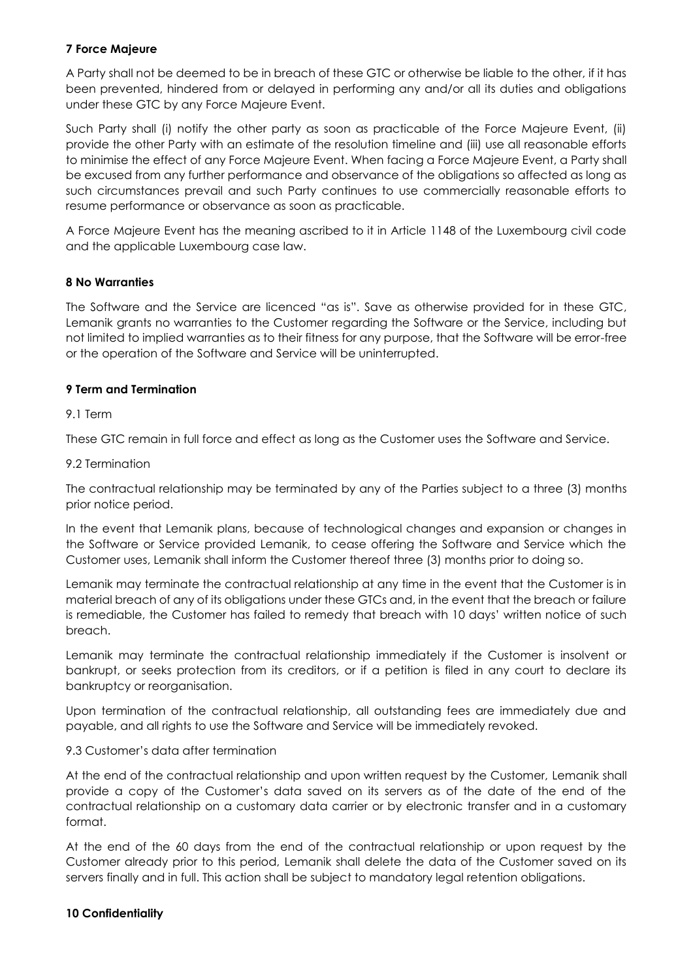# **7 Force Majeure**

A Party shall not be deemed to be in breach of these GTC or otherwise be liable to the other, if it has been prevented, hindered from or delayed in performing any and/or all its duties and obligations under these GTC by any Force Majeure Event.

Such Party shall (i) notify the other party as soon as practicable of the Force Majeure Event, (ii) provide the other Party with an estimate of the resolution timeline and (iii) use all reasonable efforts to minimise the effect of any Force Majeure Event. When facing a Force Majeure Event, a Party shall be excused from any further performance and observance of the obligations so affected as long as such circumstances prevail and such Party continues to use commercially reasonable efforts to resume performance or observance as soon as practicable.

A Force Majeure Event has the meaning ascribed to it in Article 1148 of the Luxembourg civil code and the applicable Luxembourg case law.

### **8 No Warranties**

The Software and the Service are licenced "as is". Save as otherwise provided for in these GTC, Lemanik grants no warranties to the Customer regarding the Software or the Service, including but not limited to implied warranties as to their fitness for any purpose, that the Software will be error-free or the operation of the Software and Service will be uninterrupted.

## **9 Term and Termination**

## 9.1 Term

These GTC remain in full force and effect as long as the Customer uses the Software and Service.

### 9.2 Termination

The contractual relationship may be terminated by any of the Parties subject to a three (3) months prior notice period.

In the event that Lemanik plans, because of technological changes and expansion or changes in the Software or Service provided Lemanik, to cease offering the Software and Service which the Customer uses, Lemanik shall inform the Customer thereof three (3) months prior to doing so.

Lemanik may terminate the contractual relationship at any time in the event that the Customer is in material breach of any of its obligations under these GTCs and, in the event that the breach or failure is remediable, the Customer has failed to remedy that breach with 10 days' written notice of such breach.

Lemanik may terminate the contractual relationship immediately if the Customer is insolvent or bankrupt, or seeks protection from its creditors, or if a petition is filed in any court to declare its bankruptcy or reorganisation.

Upon termination of the contractual relationship, all outstanding fees are immediately due and payable, and all rights to use the Software and Service will be immediately revoked.

### 9.3 Customer's data after termination

At the end of the contractual relationship and upon written request by the Customer, Lemanik shall provide a copy of the Customer's data saved on its servers as of the date of the end of the contractual relationship on a customary data carrier or by electronic transfer and in a customary format.

At the end of the 60 days from the end of the contractual relationship or upon request by the Customer already prior to this period, Lemanik shall delete the data of the Customer saved on its servers finally and in full. This action shall be subject to mandatory legal retention obligations.

### **10 Confidentiality**